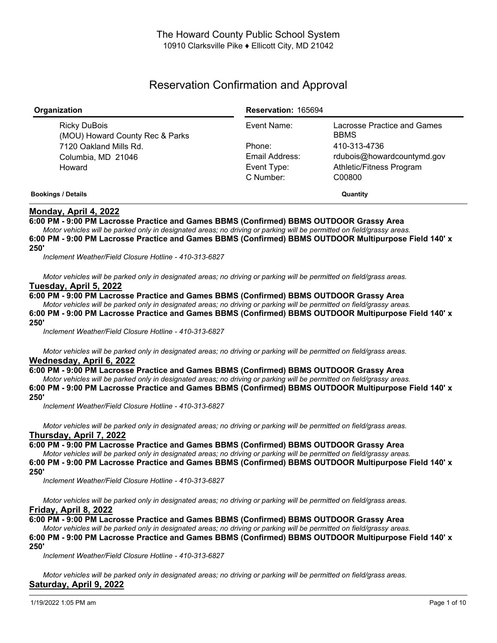# Reservation Confirmation and Approval

| Organization                                    | <b>Reservation: 165694</b> |                                            |
|-------------------------------------------------|----------------------------|--------------------------------------------|
| Ricky DuBois<br>(MOU) Howard County Rec & Parks | Event Name:                | Lacrosse Practice and Games<br><b>BBMS</b> |
| 7120 Oakland Mills Rd.                          | Phone:                     | 410-313-4736                               |
| Columbia, MD 21046                              | Email Address:             | rdubois@howardcountymd.gov                 |
| Howard                                          | Event Type:                | Athletic/Fitness Program                   |
|                                                 | C Number:                  | C00800                                     |
| <b>Bookings / Details</b>                       | Quantity                   |                                            |

# **Monday, April 4, 2022**

**6:00 PM - 9:00 PM Lacrosse Practice and Games BBMS (Confirmed) BBMS OUTDOOR Grassy Area**

Motor vehicles will be parked only in designated areas; no driving or parking will be permitted on field/grassy areas. **6:00 PM - 9:00 PM Lacrosse Practice and Games BBMS (Confirmed) BBMS OUTDOOR Multipurpose Field 140' x 250'**

*Inclement Weather/Field Closure Hotline - 410-313-6827*

Motor vehicles will be parked only in designated areas; no driving or parking will be permitted on field/grass areas. **Tuesday, April 5, 2022**

**6:00 PM - 9:00 PM Lacrosse Practice and Games BBMS (Confirmed) BBMS OUTDOOR Grassy Area**

Motor vehicles will be parked only in designated areas; no driving or parking will be permitted on field/grassy areas. **6:00 PM - 9:00 PM Lacrosse Practice and Games BBMS (Confirmed) BBMS OUTDOOR Multipurpose Field 140' x 250'**

*Inclement Weather/Field Closure Hotline - 410-313-6827*

Motor vehicles will be parked only in designated areas; no driving or parking will be permitted on field/grass areas. **Wednesday, April 6, 2022**

# **6:00 PM - 9:00 PM Lacrosse Practice and Games BBMS (Confirmed) BBMS OUTDOOR Grassy Area**

Motor vehicles will be parked only in designated areas; no driving or parking will be permitted on field/grassy areas.

**6:00 PM - 9:00 PM Lacrosse Practice and Games BBMS (Confirmed) BBMS OUTDOOR Multipurpose Field 140' x 250'**

*Inclement Weather/Field Closure Hotline - 410-313-6827*

Motor vehicles will be parked only in designated areas; no driving or parking will be permitted on field/grass areas. **Thursday, April 7, 2022**

**6:00 PM - 9:00 PM Lacrosse Practice and Games BBMS (Confirmed) BBMS OUTDOOR Grassy Area**

Motor vehicles will be parked only in designated areas; no driving or parking will be permitted on field/grassy areas. **6:00 PM - 9:00 PM Lacrosse Practice and Games BBMS (Confirmed) BBMS OUTDOOR Multipurpose Field 140' x**

## **250'**

*Inclement Weather/Field Closure Hotline - 410-313-6827*

Motor vehicles will be parked only in designated areas; no driving or parking will be permitted on field/grass areas. **Friday, April 8, 2022**

**6:00 PM - 9:00 PM Lacrosse Practice and Games BBMS (Confirmed) BBMS OUTDOOR Grassy Area**

Motor vehicles will be parked only in designated areas; no driving or parking will be permitted on field/grassy areas.

**6:00 PM - 9:00 PM Lacrosse Practice and Games BBMS (Confirmed) BBMS OUTDOOR Multipurpose Field 140' x 250'**

*Inclement Weather/Field Closure Hotline - 410-313-6827*

Motor vehicles will be parked only in designated areas; no driving or parking will be permitted on field/grass areas. **Saturday, April 9, 2022**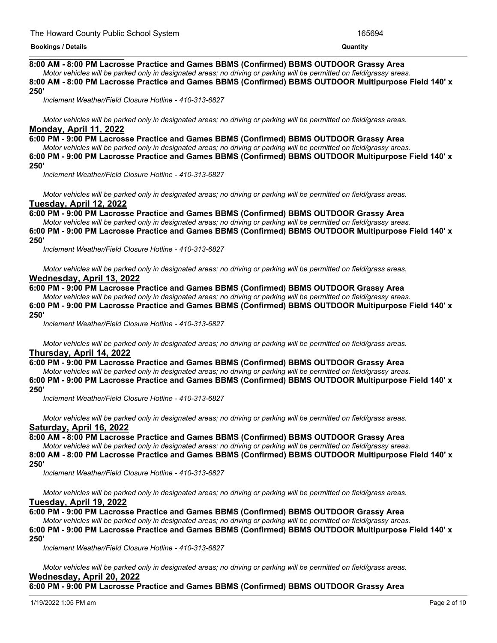## **Saturday, April 9, 2022 8:00 AM - 8:00 PM Lacrosse Practice and Games BBMS (Confirmed) BBMS OUTDOOR Grassy Area**

Motor vehicles will be parked only in designated areas: no driving or parking will be permitted on field/grassy areas. **8:00 AM - 8:00 PM Lacrosse Practice and Games BBMS (Confirmed) BBMS OUTDOOR Multipurpose Field 140' x 250'**

*Inclement Weather/Field Closure Hotline - 410-313-6827*

Motor vehicles will be parked only in designated areas; no driving or parking will be permitted on field/grass areas. **Monday, April 11, 2022**

**6:00 PM - 9:00 PM Lacrosse Practice and Games BBMS (Confirmed) BBMS OUTDOOR Grassy Area**

Motor vehicles will be parked only in designated areas; no driving or parking will be permitted on field/grassy areas. **6:00 PM - 9:00 PM Lacrosse Practice and Games BBMS (Confirmed) BBMS OUTDOOR Multipurpose Field 140' x 250'**

*Inclement Weather/Field Closure Hotline - 410-313-6827*

Motor vehicles will be parked only in designated areas; no driving or parking will be permitted on field/grass areas. **Tuesday, April 12, 2022**

**6:00 PM - 9:00 PM Lacrosse Practice and Games BBMS (Confirmed) BBMS OUTDOOR Grassy Area**

Motor vehicles will be parked only in designated areas; no driving or parking will be permitted on field/grassy areas. **6:00 PM - 9:00 PM Lacrosse Practice and Games BBMS (Confirmed) BBMS OUTDOOR Multipurpose Field 140' x 250'**

*Inclement Weather/Field Closure Hotline - 410-313-6827*

Motor vehicles will be parked only in designated areas; no driving or parking will be permitted on field/grass areas. **Wednesday, April 13, 2022**

# **6:00 PM - 9:00 PM Lacrosse Practice and Games BBMS (Confirmed) BBMS OUTDOOR Grassy Area**

Motor vehicles will be parked only in designated areas; no driving or parking will be permitted on field/grassy areas.

**6:00 PM - 9:00 PM Lacrosse Practice and Games BBMS (Confirmed) BBMS OUTDOOR Multipurpose Field 140' x 250'**

*Inclement Weather/Field Closure Hotline - 410-313-6827*

Motor vehicles will be parked only in designated areas; no driving or parking will be permitted on field/grass areas. **Thursday, April 14, 2022**

## **6:00 PM - 9:00 PM Lacrosse Practice and Games BBMS (Confirmed) BBMS OUTDOOR Grassy Area**

Motor vehicles will be parked only in designated areas; no driving or parking will be permitted on field/grassy areas.

**6:00 PM - 9:00 PM Lacrosse Practice and Games BBMS (Confirmed) BBMS OUTDOOR Multipurpose Field 140' x 250'**

*Inclement Weather/Field Closure Hotline - 410-313-6827*

Motor vehicles will be parked only in designated areas; no driving or parking will be permitted on field/grass areas. **Saturday, April 16, 2022**

**8:00 AM - 8:00 PM Lacrosse Practice and Games BBMS (Confirmed) BBMS OUTDOOR Grassy Area**

Motor vehicles will be parked only in designated areas; no driving or parking will be permitted on field/grassy areas.

**8:00 AM - 8:00 PM Lacrosse Practice and Games BBMS (Confirmed) BBMS OUTDOOR Multipurpose Field 140' x 250'**

*Inclement Weather/Field Closure Hotline - 410-313-6827*

Motor vehicles will be parked only in designated areas; no driving or parking will be permitted on field/grass areas. **Tuesday, April 19, 2022**

**6:00 PM - 9:00 PM Lacrosse Practice and Games BBMS (Confirmed) BBMS OUTDOOR Grassy Area**

#### Motor vehicles will be parked only in designated areas; no driving or parking will be permitted on field/grassy areas. **6:00 PM - 9:00 PM Lacrosse Practice and Games BBMS (Confirmed) BBMS OUTDOOR Multipurpose Field 140' x 250'**

*Inclement Weather/Field Closure Hotline - 410-313-6827*

Motor vehicles will be parked only in designated areas; no driving or parking will be permitted on field/grass areas. **Wednesday, April 20, 2022**

**6:00 PM - 9:00 PM Lacrosse Practice and Games BBMS (Confirmed) BBMS OUTDOOR Grassy Area**

1/19/2022 1:05 PM am Page 2 of 10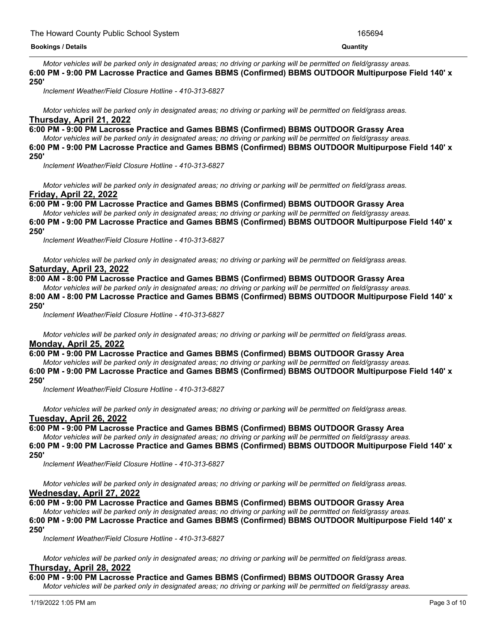Motor vehicles will be parked only in designated areas; no driving or parking will be permitted on field/grassy areas. **6:00 PM - 9:00 PM Lacrosse Practice and Games BBMS (Confirmed) BBMS OUTDOOR Multipurpose Field 140' x 250'**

*Inclement Weather/Field Closure Hotline - 410-313-6827*

Motor vehicles will be parked only in designated areas; no driving or parking will be permitted on field/grass areas. **Thursday, April 21, 2022**

**6:00 PM - 9:00 PM Lacrosse Practice and Games BBMS (Confirmed) BBMS OUTDOOR Grassy Area**

**6:00 PM - 9:00 PM Lacrosse Practice and Games BBMS (Confirmed) BBMS OUTDOOR Grassy Area**

Motor vehicles will be parked only in designated areas; no driving or parking will be permitted on field/grassy areas. **6:00 PM - 9:00 PM Lacrosse Practice and Games BBMS (Confirmed) BBMS OUTDOOR Multipurpose Field 140' x 250'**

*Inclement Weather/Field Closure Hotline - 410-313-6827*

Motor vehicles will be parked only in designated areas; no driving or parking will be permitted on field/grass areas. **Friday, April 22, 2022**

**6:00 PM - 9:00 PM Lacrosse Practice and Games BBMS (Confirmed) BBMS OUTDOOR Grassy Area**

Motor vehicles will be parked only in designated areas; no driving or parking will be permitted on field/grassy areas.

**6:00 PM - 9:00 PM Lacrosse Practice and Games BBMS (Confirmed) BBMS OUTDOOR Multipurpose Field 140' x 250'**

*Inclement Weather/Field Closure Hotline - 410-313-6827*

Motor vehicles will be parked only in designated areas; no driving or parking will be permitted on field/grass areas. **Saturday, April 23, 2022**

# **8:00 AM - 8:00 PM Lacrosse Practice and Games BBMS (Confirmed) BBMS OUTDOOR Grassy Area**

Motor vehicles will be parked only in designated areas; no driving or parking will be permitted on field/grassy areas.

**8:00 AM - 8:00 PM Lacrosse Practice and Games BBMS (Confirmed) BBMS OUTDOOR Multipurpose Field 140' x 250'**

*Inclement Weather/Field Closure Hotline - 410-313-6827*

Motor vehicles will be parked only in designated areas; no driving or parking will be permitted on field/grass areas. **Monday, April 25, 2022**

**6:00 PM - 9:00 PM Lacrosse Practice and Games BBMS (Confirmed) BBMS OUTDOOR Grassy Area** Motor vehicles will be parked only in designated areas; no driving or parking will be permitted on field/grassy areas.

**6:00 PM - 9:00 PM Lacrosse Practice and Games BBMS (Confirmed) BBMS OUTDOOR Multipurpose Field 140' x 250'**

*Inclement Weather/Field Closure Hotline - 410-313-6827*

Motor vehicles will be parked only in designated areas; no driving or parking will be permitted on field/grass areas. **Tuesday, April 26, 2022**

**6:00 PM - 9:00 PM Lacrosse Practice and Games BBMS (Confirmed) BBMS OUTDOOR Grassy Area**

Motor vehicles will be parked only in designated areas; no driving or parking will be permitted on field/grassy areas. **6:00 PM - 9:00 PM Lacrosse Practice and Games BBMS (Confirmed) BBMS OUTDOOR Multipurpose Field 140' x 250'**

*Inclement Weather/Field Closure Hotline - 410-313-6827*

Motor vehicles will be parked only in designated areas; no driving or parking will be permitted on field/grass areas. **Wednesday, April 27, 2022**

**6:00 PM - 9:00 PM Lacrosse Practice and Games BBMS (Confirmed) BBMS OUTDOOR Grassy Area**

Motor vehicles will be parked only in designated areas; no driving or parking will be permitted on field/grassy areas.

**6:00 PM - 9:00 PM Lacrosse Practice and Games BBMS (Confirmed) BBMS OUTDOOR Multipurpose Field 140' x 250'**

*Inclement Weather/Field Closure Hotline - 410-313-6827*

Motor vehicles will be parked only in designated areas; no driving or parking will be permitted on field/grass areas. **Thursday, April 28, 2022**

**6:00 PM - 9:00 PM Lacrosse Practice and Games BBMS (Confirmed) BBMS OUTDOOR Grassy Area**

Motor vehicles will be parked only in designated areas; no driving or parking will be permitted on field/grassy areas.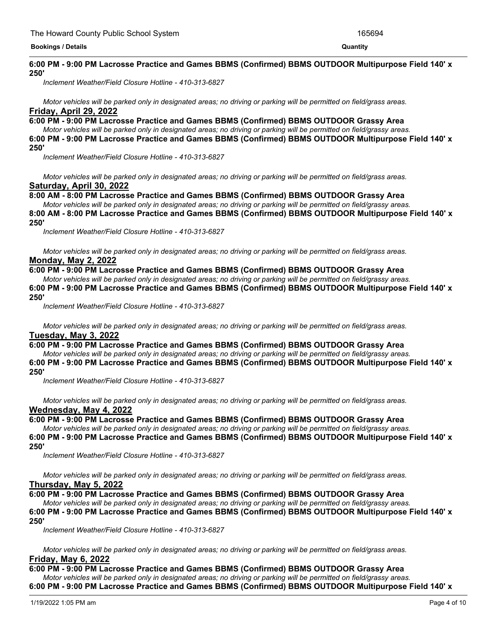#### <u> 1989 - Andrea Andrea Andrea Andrea Andrea Andrea Andrea Andrea Andrea Andrea Andrea Andrea Andrea Andrea Andr</u> **6:00 PM - 9:00 PM Lacrosse Practice and Games BBMS (Confirmed) BBMS OUTDOOR Multipurpose Field 140' x 250'**

*Inclement Weather/Field Closure Hotline - 410-313-6827*

Motor vehicles will be parked only in designated areas; no driving or parking will be permitted on field/grass areas. **Friday, April 29, 2022**

## **6:00 PM - 9:00 PM Lacrosse Practice and Games BBMS (Confirmed) BBMS OUTDOOR Grassy Area**

Motor vehicles will be parked only in designated areas; no driving or parking will be permitted on field/grassy areas. **6:00 PM - 9:00 PM Lacrosse Practice and Games BBMS (Confirmed) BBMS OUTDOOR Multipurpose Field 140' x 250'**

*Inclement Weather/Field Closure Hotline - 410-313-6827*

Motor vehicles will be parked only in designated areas; no driving or parking will be permitted on field/grass areas. **Saturday, April 30, 2022**

**8:00 AM - 8:00 PM Lacrosse Practice and Games BBMS (Confirmed) BBMS OUTDOOR Grassy Area**

Motor vehicles will be parked only in designated areas; no driving or parking will be permitted on field/grassy areas. **8:00 AM - 8:00 PM Lacrosse Practice and Games BBMS (Confirmed) BBMS OUTDOOR Multipurpose Field 140' x 250'**

*Inclement Weather/Field Closure Hotline - 410-313-6827*

Motor vehicles will be parked only in designated areas; no driving or parking will be permitted on field/grass areas. **Monday, May 2, 2022**

**6:00 PM - 9:00 PM Lacrosse Practice and Games BBMS (Confirmed) BBMS OUTDOOR Grassy Area**

Motor vehicles will be parked only in designated areas; no driving or parking will be permitted on field/grassy areas. **6:00 PM - 9:00 PM Lacrosse Practice and Games BBMS (Confirmed) BBMS OUTDOOR Multipurpose Field 140' x 250'**

*Inclement Weather/Field Closure Hotline - 410-313-6827*

Motor vehicles will be parked only in designated areas; no driving or parking will be permitted on field/grass areas. **Tuesday, May 3, 2022**

**6:00 PM - 9:00 PM Lacrosse Practice and Games BBMS (Confirmed) BBMS OUTDOOR Grassy Area**

Motor vehicles will be parked only in designated areas; no driving or parking will be permitted on field/grassy areas. **6:00 PM - 9:00 PM Lacrosse Practice and Games BBMS (Confirmed) BBMS OUTDOOR Multipurpose Field 140' x 250'**

*Inclement Weather/Field Closure Hotline - 410-313-6827*

Motor vehicles will be parked only in designated areas; no driving or parking will be permitted on field/grass areas. **Wednesday, May 4, 2022**

**6:00 PM - 9:00 PM Lacrosse Practice and Games BBMS (Confirmed) BBMS OUTDOOR Grassy Area**

Motor vehicles will be parked only in designated areas; no driving or parking will be permitted on field/grassy areas.

**6:00 PM - 9:00 PM Lacrosse Practice and Games BBMS (Confirmed) BBMS OUTDOOR Multipurpose Field 140' x 250'**

*Inclement Weather/Field Closure Hotline - 410-313-6827*

Motor vehicles will be parked only in designated areas; no driving or parking will be permitted on field/grass areas. **Thursday, May 5, 2022**

# **6:00 PM - 9:00 PM Lacrosse Practice and Games BBMS (Confirmed) BBMS OUTDOOR Grassy Area**

Motor vehicles will be parked only in designated areas; no driving or parking will be permitted on field/grassy areas.

**6:00 PM - 9:00 PM Lacrosse Practice and Games BBMS (Confirmed) BBMS OUTDOOR Multipurpose Field 140' x 250'**

*Inclement Weather/Field Closure Hotline - 410-313-6827*

Motor vehicles will be parked only in designated areas; no driving or parking will be permitted on field/grass areas. **Friday, May 6, 2022**

**6:00 PM - 9:00 PM Lacrosse Practice and Games BBMS (Confirmed) BBMS OUTDOOR Grassy Area**

Motor vehicles will be parked only in designated areas; no driving or parking will be permitted on field/grassy areas.

**6:00 PM - 9:00 PM Lacrosse Practice and Games BBMS (Confirmed) BBMS OUTDOOR Multipurpose Field 140' x**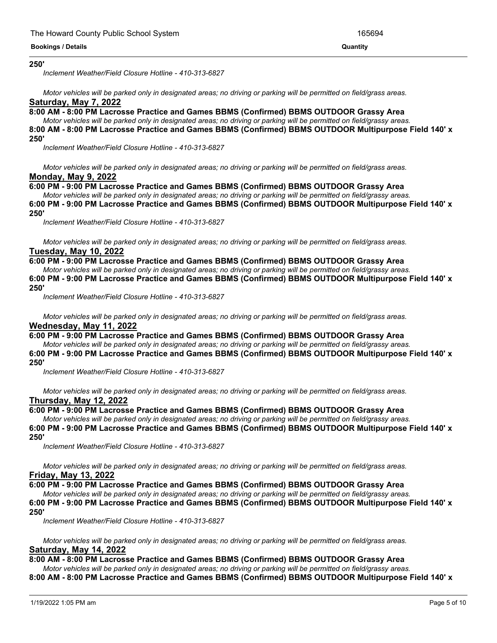#### **6:00 PM - 9:00 PM Lacrosse Practice and Games BBMS (Confirmed) BBMS OUTDOOR Multipurpose Field 140' x 250'**

*Inclement Weather/Field Closure Hotline - 410-313-6827*

Motor vehicles will be parked only in designated areas; no driving or parking will be permitted on field/grass areas. **Saturday, May 7, 2022**

**8:00 AM - 8:00 PM Lacrosse Practice and Games BBMS (Confirmed) BBMS OUTDOOR Grassy Area**

Motor vehicles will be parked only in designated areas; no driving or parking will be permitted on field/grassy areas. **8:00 AM - 8:00 PM Lacrosse Practice and Games BBMS (Confirmed) BBMS OUTDOOR Multipurpose Field 140' x**

# **250'**

*Inclement Weather/Field Closure Hotline - 410-313-6827*

Motor vehicles will be parked only in designated areas; no driving or parking will be permitted on field/grass areas. **Monday, May 9, 2022**

# **6:00 PM - 9:00 PM Lacrosse Practice and Games BBMS (Confirmed) BBMS OUTDOOR Grassy Area**

Motor vehicles will be parked only in designated areas; no driving or parking will be permitted on field/grassy areas. **6:00 PM - 9:00 PM Lacrosse Practice and Games BBMS (Confirmed) BBMS OUTDOOR Multipurpose Field 140' x 250'**

*Inclement Weather/Field Closure Hotline - 410-313-6827*

Motor vehicles will be parked only in designated areas; no driving or parking will be permitted on field/grass areas. **Tuesday, May 10, 2022**

# **6:00 PM - 9:00 PM Lacrosse Practice and Games BBMS (Confirmed) BBMS OUTDOOR Grassy Area**

Motor vehicles will be parked only in designated areas; no driving or parking will be permitted on field/grassy areas.

**6:00 PM - 9:00 PM Lacrosse Practice and Games BBMS (Confirmed) BBMS OUTDOOR Multipurpose Field 140' x 250'**

*Inclement Weather/Field Closure Hotline - 410-313-6827*

Motor vehicles will be parked only in designated areas; no driving or parking will be permitted on field/grass areas. **Wednesday, May 11, 2022**

## **6:00 PM - 9:00 PM Lacrosse Practice and Games BBMS (Confirmed) BBMS OUTDOOR Grassy Area**

Motor vehicles will be parked only in designated areas; no driving or parking will be permitted on field/grassy areas.

**6:00 PM - 9:00 PM Lacrosse Practice and Games BBMS (Confirmed) BBMS OUTDOOR Multipurpose Field 140' x 250'**

*Inclement Weather/Field Closure Hotline - 410-313-6827*

Motor vehicles will be parked only in designated areas; no driving or parking will be permitted on field/grass areas. **Thursday, May 12, 2022**

# **6:00 PM - 9:00 PM Lacrosse Practice and Games BBMS (Confirmed) BBMS OUTDOOR Grassy Area**

Motor vehicles will be parked only in designated areas; no driving or parking will be permitted on field/grassy areas. **6:00 PM - 9:00 PM Lacrosse Practice and Games BBMS (Confirmed) BBMS OUTDOOR Multipurpose Field 140' x 250'**

*Inclement Weather/Field Closure Hotline - 410-313-6827*

Motor vehicles will be parked only in designated areas; no driving or parking will be permitted on field/grass areas.

# **Friday, May 13, 2022**

**6:00 PM - 9:00 PM Lacrosse Practice and Games BBMS (Confirmed) BBMS OUTDOOR Grassy Area**

Motor vehicles will be parked only in designated areas; no driving or parking will be permitted on field/grassy areas.

**6:00 PM - 9:00 PM Lacrosse Practice and Games BBMS (Confirmed) BBMS OUTDOOR Multipurpose Field 140' x**

**250'**

*Inclement Weather/Field Closure Hotline - 410-313-6827*

Motor vehicles will be parked only in designated areas; no driving or parking will be permitted on field/grass areas. **Saturday, May 14, 2022**

# **8:00 AM - 8:00 PM Lacrosse Practice and Games BBMS (Confirmed) BBMS OUTDOOR Grassy Area**

Motor vehicles will be parked only in designated areas; no driving or parking will be permitted on field/grassy areas.

**8:00 AM - 8:00 PM Lacrosse Practice and Games BBMS (Confirmed) BBMS OUTDOOR Multipurpose Field 140' x**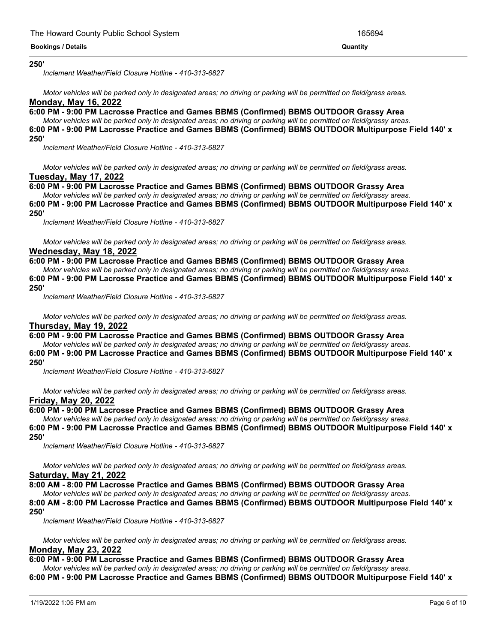#### **8:00 AM - 8:00 PM Lacrosse Practice and Games BBMS (Confirmed) BBMS OUTDOOR Multipurpose Field 140' x 250'**

*Inclement Weather/Field Closure Hotline - 410-313-6827*

Motor vehicles will be parked only in designated areas; no driving or parking will be permitted on field/grass areas. **Monday, May 16, 2022**

**6:00 PM - 9:00 PM Lacrosse Practice and Games BBMS (Confirmed) BBMS OUTDOOR Grassy Area**

Motor vehicles will be parked only in designated areas; no driving or parking will be permitted on field/grassy areas.

**6:00 PM - 9:00 PM Lacrosse Practice and Games BBMS (Confirmed) BBMS OUTDOOR Multipurpose Field 140' x**

#### **250'**

*Inclement Weather/Field Closure Hotline - 410-313-6827*

Motor vehicles will be parked only in designated areas; no driving or parking will be permitted on field/grass areas. **Tuesday, May 17, 2022**

# **6:00 PM - 9:00 PM Lacrosse Practice and Games BBMS (Confirmed) BBMS OUTDOOR Grassy Area**

Motor vehicles will be parked only in designated areas; no driving or parking will be permitted on field/grassy areas. **6:00 PM - 9:00 PM Lacrosse Practice and Games BBMS (Confirmed) BBMS OUTDOOR Multipurpose Field 140' x 250'**

*Inclement Weather/Field Closure Hotline - 410-313-6827*

Motor vehicles will be parked only in designated areas; no driving or parking will be permitted on field/grass areas. **Wednesday, May 18, 2022**

# **6:00 PM - 9:00 PM Lacrosse Practice and Games BBMS (Confirmed) BBMS OUTDOOR Grassy Area**

Motor vehicles will be parked only in designated areas; no driving or parking will be permitted on field/grassy areas. **6:00 PM - 9:00 PM Lacrosse Practice and Games BBMS (Confirmed) BBMS OUTDOOR Multipurpose Field 140' x 250'**

*Inclement Weather/Field Closure Hotline - 410-313-6827*

Motor vehicles will be parked only in designated areas; no driving or parking will be permitted on field/grass areas. **Thursday, May 19, 2022**

## **6:00 PM - 9:00 PM Lacrosse Practice and Games BBMS (Confirmed) BBMS OUTDOOR Grassy Area**

Motor vehicles will be parked only in designated areas; no driving or parking will be permitted on field/grassy areas.

**6:00 PM - 9:00 PM Lacrosse Practice and Games BBMS (Confirmed) BBMS OUTDOOR Multipurpose Field 140' x 250'**

*Inclement Weather/Field Closure Hotline - 410-313-6827*

Motor vehicles will be parked only in designated areas; no driving or parking will be permitted on field/grass areas. **Friday, May 20, 2022**

# **6:00 PM - 9:00 PM Lacrosse Practice and Games BBMS (Confirmed) BBMS OUTDOOR Grassy Area**

Motor vehicles will be parked only in designated areas; no driving or parking will be permitted on field/grassy areas. **6:00 PM - 9:00 PM Lacrosse Practice and Games BBMS (Confirmed) BBMS OUTDOOR Multipurpose Field 140' x 250'**

*Inclement Weather/Field Closure Hotline - 410-313-6827*

Motor vehicles will be parked only in designated areas; no driving or parking will be permitted on field/grass areas. **Saturday, May 21, 2022**

**8:00 AM - 8:00 PM Lacrosse Practice and Games BBMS (Confirmed) BBMS OUTDOOR Grassy Area**

Motor vehicles will be parked only in designated areas; no driving or parking will be permitted on field/grassy areas.

**8:00 AM - 8:00 PM Lacrosse Practice and Games BBMS (Confirmed) BBMS OUTDOOR Multipurpose Field 140' x 250'**

*Inclement Weather/Field Closure Hotline - 410-313-6827*

Motor vehicles will be parked only in designated areas; no driving or parking will be permitted on field/grass areas. **Monday, May 23, 2022**

# **6:00 PM - 9:00 PM Lacrosse Practice and Games BBMS (Confirmed) BBMS OUTDOOR Grassy Area**

Motor vehicles will be parked only in designated areas; no driving or parking will be permitted on field/grassy areas.

**6:00 PM - 9:00 PM Lacrosse Practice and Games BBMS (Confirmed) BBMS OUTDOOR Multipurpose Field 140' x**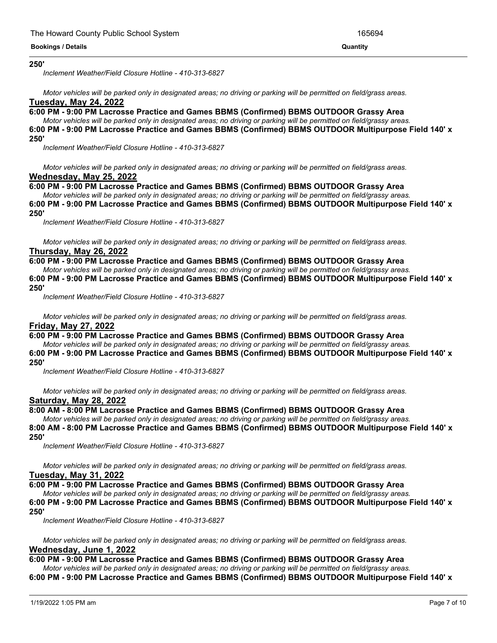#### **6:00 PM - 9:00 PM Lacrosse Practice and Games BBMS (Confirmed) BBMS OUTDOOR Multipurpose Field 140' x 250'**

*Inclement Weather/Field Closure Hotline - 410-313-6827*

Motor vehicles will be parked only in designated areas; no driving or parking will be permitted on field/grass areas. **Tuesday, May 24, 2022**

**6:00 PM - 9:00 PM Lacrosse Practice and Games BBMS (Confirmed) BBMS OUTDOOR Grassy Area**

Motor vehicles will be parked only in designated areas; no driving or parking will be permitted on field/grassy areas. **6:00 PM - 9:00 PM Lacrosse Practice and Games BBMS (Confirmed) BBMS OUTDOOR Multipurpose Field 140' x**

# **250'**

*Inclement Weather/Field Closure Hotline - 410-313-6827*

Motor vehicles will be parked only in designated areas; no driving or parking will be permitted on field/grass areas. **Wednesday, May 25, 2022**

# **6:00 PM - 9:00 PM Lacrosse Practice and Games BBMS (Confirmed) BBMS OUTDOOR Grassy Area**

Motor vehicles will be parked only in designated areas; no driving or parking will be permitted on field/grassy areas. **6:00 PM - 9:00 PM Lacrosse Practice and Games BBMS (Confirmed) BBMS OUTDOOR Multipurpose Field 140' x 250'**

*Inclement Weather/Field Closure Hotline - 410-313-6827*

Motor vehicles will be parked only in designated areas; no driving or parking will be permitted on field/grass areas. **Thursday, May 26, 2022**

# **6:00 PM - 9:00 PM Lacrosse Practice and Games BBMS (Confirmed) BBMS OUTDOOR Grassy Area**

Motor vehicles will be parked only in designated areas; no driving or parking will be permitted on field/grassy areas. **6:00 PM - 9:00 PM Lacrosse Practice and Games BBMS (Confirmed) BBMS OUTDOOR Multipurpose Field 140' x 250'**

*Inclement Weather/Field Closure Hotline - 410-313-6827*

Motor vehicles will be parked only in designated areas; no driving or parking will be permitted on field/grass areas. **Friday, May 27, 2022**

## **6:00 PM - 9:00 PM Lacrosse Practice and Games BBMS (Confirmed) BBMS OUTDOOR Grassy Area**

Motor vehicles will be parked only in designated areas; no driving or parking will be permitted on field/grassy areas.

**6:00 PM - 9:00 PM Lacrosse Practice and Games BBMS (Confirmed) BBMS OUTDOOR Multipurpose Field 140' x 250'**

*Inclement Weather/Field Closure Hotline - 410-313-6827*

Motor vehicles will be parked only in designated areas; no driving or parking will be permitted on field/grass areas. **Saturday, May 28, 2022**

# **8:00 AM - 8:00 PM Lacrosse Practice and Games BBMS (Confirmed) BBMS OUTDOOR Grassy Area**

Motor vehicles will be parked only in designated areas; no driving or parking will be permitted on field/grassy areas. **8:00 AM - 8:00 PM Lacrosse Practice and Games BBMS (Confirmed) BBMS OUTDOOR Multipurpose Field 140' x 250'**

*Inclement Weather/Field Closure Hotline - 410-313-6827*

Motor vehicles will be parked only in designated areas; no driving or parking will be permitted on field/grass areas.

# **Tuesday, May 31, 2022**

**6:00 PM - 9:00 PM Lacrosse Practice and Games BBMS (Confirmed) BBMS OUTDOOR Grassy Area**

Motor vehicles will be parked only in designated areas; no driving or parking will be permitted on field/grassy areas.

**6:00 PM - 9:00 PM Lacrosse Practice and Games BBMS (Confirmed) BBMS OUTDOOR Multipurpose Field 140' x 250'**

*Inclement Weather/Field Closure Hotline - 410-313-6827*

Motor vehicles will be parked only in designated areas; no driving or parking will be permitted on field/grass areas. **Wednesday, June 1, 2022**

# **6:00 PM - 9:00 PM Lacrosse Practice and Games BBMS (Confirmed) BBMS OUTDOOR Grassy Area**

Motor vehicles will be parked only in designated areas; no driving or parking will be permitted on field/grassy areas.

**6:00 PM - 9:00 PM Lacrosse Practice and Games BBMS (Confirmed) BBMS OUTDOOR Multipurpose Field 140' x**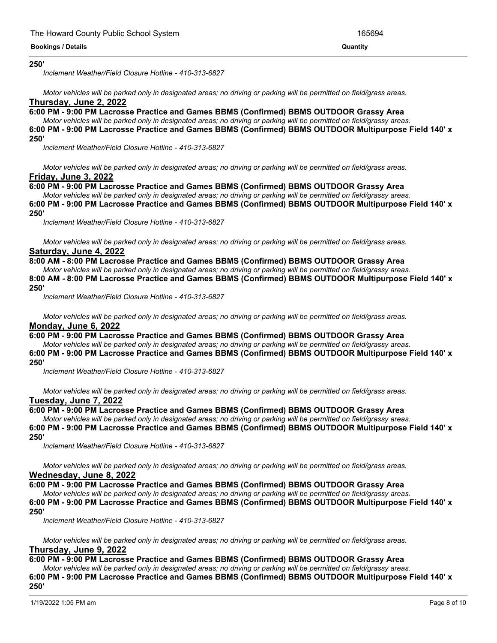#### **6:00 PM - 9:00 PM Lacrosse Practice and Games BBMS (Confirmed) BBMS OUTDOOR Multipurpose Field 140' x 250'**

*Inclement Weather/Field Closure Hotline - 410-313-6827*

Motor vehicles will be parked only in designated areas; no driving or parking will be permitted on field/grass areas.

# **Thursday, June 2, 2022**

**6:00 PM - 9:00 PM Lacrosse Practice and Games BBMS (Confirmed) BBMS OUTDOOR Grassy Area**

Motor vehicles will be parked only in designated areas; no driving or parking will be permitted on field/grassy areas. **6:00 PM - 9:00 PM Lacrosse Practice and Games BBMS (Confirmed) BBMS OUTDOOR Multipurpose Field 140' x**

# **250'**

*Inclement Weather/Field Closure Hotline - 410-313-6827*

Motor vehicles will be parked only in designated areas; no driving or parking will be permitted on field/grass areas. **Friday, June 3, 2022**

# **6:00 PM - 9:00 PM Lacrosse Practice and Games BBMS (Confirmed) BBMS OUTDOOR Grassy Area**

Motor vehicles will be parked only in designated areas; no driving or parking will be permitted on field/grassy areas. **6:00 PM - 9:00 PM Lacrosse Practice and Games BBMS (Confirmed) BBMS OUTDOOR Multipurpose Field 140' x 250'**

*Inclement Weather/Field Closure Hotline - 410-313-6827*

Motor vehicles will be parked only in designated areas; no driving or parking will be permitted on field/grass areas. **Saturday, June 4, 2022**

# **8:00 AM - 8:00 PM Lacrosse Practice and Games BBMS (Confirmed) BBMS OUTDOOR Grassy Area**

Motor vehicles will be parked only in designated areas; no driving or parking will be permitted on field/grassy areas. **8:00 AM - 8:00 PM Lacrosse Practice and Games BBMS (Confirmed) BBMS OUTDOOR Multipurpose Field 140' x 250'**

*Inclement Weather/Field Closure Hotline - 410-313-6827*

Motor vehicles will be parked only in designated areas; no driving or parking will be permitted on field/grass areas. **Monday, June 6, 2022**

## **6:00 PM - 9:00 PM Lacrosse Practice and Games BBMS (Confirmed) BBMS OUTDOOR Grassy Area**

Motor vehicles will be parked only in designated areas; no driving or parking will be permitted on field/grassy areas.

**6:00 PM - 9:00 PM Lacrosse Practice and Games BBMS (Confirmed) BBMS OUTDOOR Multipurpose Field 140' x 250'**

*Inclement Weather/Field Closure Hotline - 410-313-6827*

Motor vehicles will be parked only in designated areas; no driving or parking will be permitted on field/grass areas. **Tuesday, June 7, 2022**

# **6:00 PM - 9:00 PM Lacrosse Practice and Games BBMS (Confirmed) BBMS OUTDOOR Grassy Area**

Motor vehicles will be parked only in designated areas; no driving or parking will be permitted on field/grassy areas. **6:00 PM - 9:00 PM Lacrosse Practice and Games BBMS (Confirmed) BBMS OUTDOOR Multipurpose Field 140' x 250'**

*Inclement Weather/Field Closure Hotline - 410-313-6827*

Motor vehicles will be parked only in designated areas; no driving or parking will be permitted on field/grass areas. **Wednesday, June 8, 2022**

**6:00 PM - 9:00 PM Lacrosse Practice and Games BBMS (Confirmed) BBMS OUTDOOR Grassy Area**

Motor vehicles will be parked only in designated areas; no driving or parking will be permitted on field/grassy areas.

**6:00 PM - 9:00 PM Lacrosse Practice and Games BBMS (Confirmed) BBMS OUTDOOR Multipurpose Field 140' x 250'**

*Inclement Weather/Field Closure Hotline - 410-313-6827*

Motor vehicles will be parked only in designated areas; no driving or parking will be permitted on field/grass areas. **Thursday, June 9, 2022**

# **6:00 PM - 9:00 PM Lacrosse Practice and Games BBMS (Confirmed) BBMS OUTDOOR Grassy Area**

Motor vehicles will be parked only in designated areas; no driving or parking will be permitted on field/grassy areas. **6:00 PM - 9:00 PM Lacrosse Practice and Games BBMS (Confirmed) BBMS OUTDOOR Multipurpose Field 140' x 250'**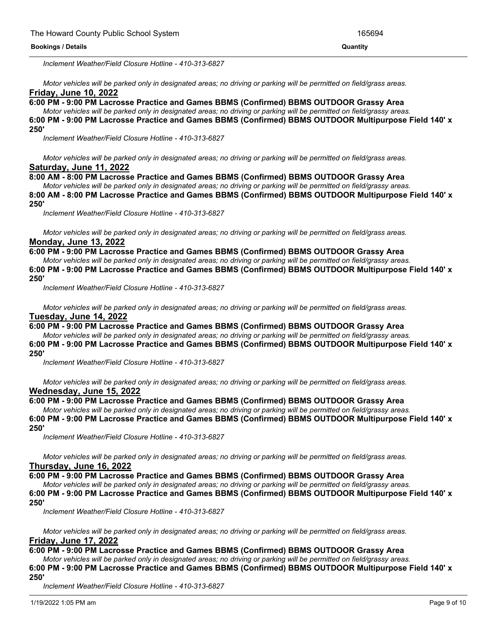**250'**

*Inclement Weather/Field Closure Hotline - 410-313-6827*

Motor vehicles will be parked only in designated areas; no driving or parking will be permitted on field/grass areas. **Friday, June 10, 2022**

**6:00 PM - 9:00 PM Lacrosse Practice and Games BBMS (Confirmed) BBMS OUTDOOR Grassy Area**

Motor vehicles will be parked only in designated areas; no driving or parking will be permitted on field/grassy areas.

**6:00 PM - 9:00 PM Lacrosse Practice and Games BBMS (Confirmed) BBMS OUTDOOR Multipurpose Field 140' x 250'**

*Inclement Weather/Field Closure Hotline - 410-313-6827*

Motor vehicles will be parked only in designated areas; no driving or parking will be permitted on field/grass areas. **Saturday, June 11, 2022**

# **8:00 AM - 8:00 PM Lacrosse Practice and Games BBMS (Confirmed) BBMS OUTDOOR Grassy Area**

Motor vehicles will be parked only in designated areas; no driving or parking will be permitted on field/grassy areas. **8:00 AM - 8:00 PM Lacrosse Practice and Games BBMS (Confirmed) BBMS OUTDOOR Multipurpose Field 140' x**

**250'**

*Inclement Weather/Field Closure Hotline - 410-313-6827*

Motor vehicles will be parked only in designated areas; no driving or parking will be permitted on field/grass areas. **Monday, June 13, 2022**

# **6:00 PM - 9:00 PM Lacrosse Practice and Games BBMS (Confirmed) BBMS OUTDOOR Grassy Area**

Motor vehicles will be parked only in designated areas; no driving or parking will be permitted on field/grassy areas.

**6:00 PM - 9:00 PM Lacrosse Practice and Games BBMS (Confirmed) BBMS OUTDOOR Multipurpose Field 140' x 250'**

*Inclement Weather/Field Closure Hotline - 410-313-6827*

Motor vehicles will be parked only in designated areas; no driving or parking will be permitted on field/grass areas. **Tuesday, June 14, 2022**

**6:00 PM - 9:00 PM Lacrosse Practice and Games BBMS (Confirmed) BBMS OUTDOOR Grassy Area** Motor vehicles will be parked only in designated areas; no driving or parking will be permitted on field/grassy areas.

**6:00 PM - 9:00 PM Lacrosse Practice and Games BBMS (Confirmed) BBMS OUTDOOR Multipurpose Field 140' x**

# **250'**

*Inclement Weather/Field Closure Hotline - 410-313-6827*

Motor vehicles will be parked only in designated areas; no driving or parking will be permitted on field/grass areas. **Wednesday, June 15, 2022**

## **6:00 PM - 9:00 PM Lacrosse Practice and Games BBMS (Confirmed) BBMS OUTDOOR Grassy Area**

Motor vehicles will be parked only in designated areas; no driving or parking will be permitted on field/grassy areas.

**6:00 PM - 9:00 PM Lacrosse Practice and Games BBMS (Confirmed) BBMS OUTDOOR Multipurpose Field 140' x 250'**

*Inclement Weather/Field Closure Hotline - 410-313-6827*

Motor vehicles will be parked only in designated areas; no driving or parking will be permitted on field/grass areas. **Thursday, June 16, 2022**

# **6:00 PM - 9:00 PM Lacrosse Practice and Games BBMS (Confirmed) BBMS OUTDOOR Grassy Area**

Motor vehicles will be parked only in designated areas: no driving or parking will be permitted on field/grassy areas.

**6:00 PM - 9:00 PM Lacrosse Practice and Games BBMS (Confirmed) BBMS OUTDOOR Multipurpose Field 140' x 250'**

*Inclement Weather/Field Closure Hotline - 410-313-6827*

Motor vehicles will be parked only in designated areas; no driving or parking will be permitted on field/grass areas. **Friday, June 17, 2022**

## **6:00 PM - 9:00 PM Lacrosse Practice and Games BBMS (Confirmed) BBMS OUTDOOR Grassy Area**

Motor vehicles will be parked only in designated areas; no driving or parking will be permitted on field/grassy areas.

**6:00 PM - 9:00 PM Lacrosse Practice and Games BBMS (Confirmed) BBMS OUTDOOR Multipurpose Field 140' x 250'**

*Inclement Weather/Field Closure Hotline - 410-313-6827*